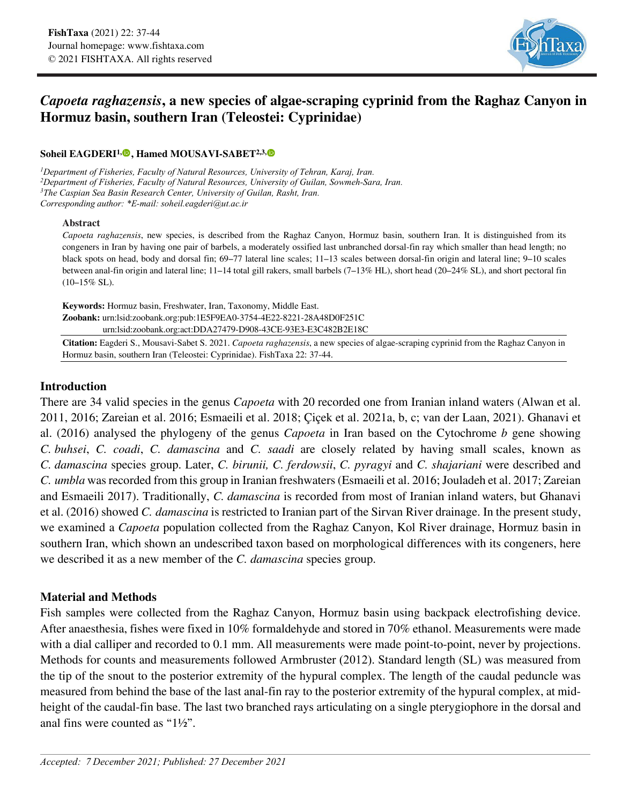

# *Capoeta raghazensis***, a new species of algae-scraping cyprinid from the Raghaz Canyon in Hormuz basin, southern Iran (Teleostei: Cyprinidae)**

### **Soheil EAGDERI1[,](https://orcid.org/0000-0001-8649-9452) , Hamed MOUSAVI-SABET2,3,**

*1Department of Fisheries, Faculty of Natural Resources, University of Tehran, Karaj, Iran. 2Department of Fisheries, Faculty of Natural Resources, University of Guilan, Sowmeh-Sara, Iran. 3The Caspian Sea Basin Research Center, University of Guilan, Rasht, Iran. Corresponding author: \*E-mail: soheil.eagderi@ut.ac.ir*

#### **Abstract**

*Capoeta raghazensis*, new species, is described from the Raghaz Canyon, Hormuz basin, southern Iran. It is distinguished from its congeners in Iran by having one pair of barbels, a moderately ossified last unbranched dorsal-fin ray which smaller than head length; no black spots on head, body and dorsal fin; 69–77 lateral line scales; 11–13 scales between dorsal-fin origin and lateral line; 9–10 scales between anal-fin origin and lateral line; 11–14 total gill rakers, small barbels (7–13% HL), short head (20–24% SL), and short pectoral fin  $(10-15\%$  SL).

**Keywords:** Hormuz basin, Freshwater, Iran, Taxonomy, Middle East. **Zoobank:** urn:lsid:zoobank.org:pub:1E5F9EA0-3754-4E22-8221-28A48D0F251C urn:lsid:zoobank.org:act:DDA27479-D908-43CE-93E3-E3C482B2E18C

**Citation:** Eagderi S., Mousavi-Sabet S. 2021. *Capoeta raghazensis*, a new species of algae-scraping cyprinid from the Raghaz Canyon in Hormuz basin, southern Iran (Teleostei: Cyprinidae). FishTaxa 22: 37-44.

# **Introduction**

There are 34 valid species in the genus *Capoeta* with 20 recorded one from Iranian inland waters (Alwan et al. 2011, 2016; Zareian et al. 2016; Esmaeili et al. 2018; Çiçek et al. 2021a, b, c; van der Laan, 2021). Ghanavi et al. (2016) analysed the phylogeny of the genus *Capoeta* in Iran based on the Cytochrome *b* gene showing *C. buhsei*, *C. coadi*, *C. damascina* and *C. saadi* are closely related by having small scales, known as *C. damascina* species group. Later, *C. birunii, C. ferdowsii*, *C. pyragyi* and *C. shajariani* were described and *C. umbla* was recorded from this group in Iranian freshwaters (Esmaeili et al. 2016; Jouladeh et al. 2017; Zareian and Esmaeili 2017). Traditionally, *C. damascina* is recorded from most of Iranian inland waters, but Ghanavi et al. (2016) showed *C. damascina* is restricted to Iranian part of the Sirvan River drainage. In the present study, we examined a *Capoeta* population collected from the Raghaz Canyon, Kol River drainage, Hormuz basin in southern Iran, which shown an undescribed taxon based on morphological differences with its congeners, here we described it as a new member of the *C. damascina* species group.

# **Material and Methods**

Fish samples were collected from the Raghaz Canyon, Hormuz basin using backpack electrofishing device. After anaesthesia, fishes were fixed in 10% formaldehyde and stored in 70% ethanol. Measurements were made with a dial calliper and recorded to 0.1 mm. All measurements were made point-to-point, never by projections. Methods for counts and measurements followed Armbruster (2012). Standard length (SL) was measured from the tip of the snout to the posterior extremity of the hypural complex. The length of the caudal peduncle was measured from behind the base of the last anal-fin ray to the posterior extremity of the hypural complex, at midheight of the caudal-fin base. The last two branched rays articulating on a single pterygiophore in the dorsal and anal fins were counted as "1½".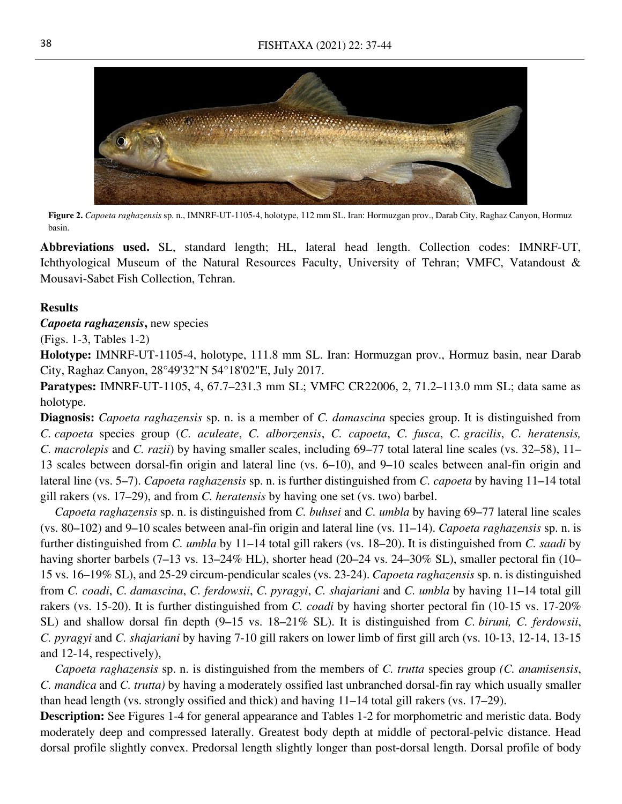

**Figure 2.** *Capoeta raghazensis* sp. n., IMNRF-UT-1105-4, holotype, 112 mm SL. Iran: Hormuzgan prov., Darab City, Raghaz Canyon, Hormuz basin.

**Abbreviations used.** SL, standard length; HL, lateral head length. Collection codes: IMNRF-UT, Ichthyological Museum of the Natural Resources Faculty, University of Tehran; VMFC, Vatandoust & Mousavi-Sabet Fish Collection, Tehran.

### **Results**

### *Capoeta raghazensis***,** new species

(Figs. 1-3, Tables 1-2)

**Holotype:** IMNRF-UT-1105-4, holotype, 111.8 mm SL. Iran: Hormuzgan prov., Hormuz basin, near Darab City, Raghaz Canyon, 28°49'32"N 54°18'02"E, July 2017.

**Paratypes:** IMNRF-UT-1105, 4, 67.7–231.3 mm SL; VMFC CR22006, 2, 71.2–113.0 mm SL; data same as holotype.

**Diagnosis:** *Capoeta raghazensis* sp. n. is a member of *C. damascina* species group. It is distinguished from *C. capoeta* species group (*C. aculeate*, *C. alborzensis*, *C. capoeta*, *C. fusca*, *C. gracilis*, *C. heratensis, C. macrolepis* and *C. razii*) by having smaller scales, including 69–77 total lateral line scales (vs. 32–58), 11– 13 scales between dorsal-fin origin and lateral line (vs. 6–10), and 9–10 scales between anal-fin origin and lateral line (vs. 5–7). *Capoeta raghazensis* sp. n. is further distinguished from *C. capoeta* by having 11–14 total gill rakers (vs. 17–29), and from *C. heratensis* by having one set (vs. two) barbel.

*Capoeta raghazensis* sp. n. is distinguished from *C. buhsei* and *C. umbla* by having 69–77 lateral line scales (vs. 80–102) and 9–10 scales between anal-fin origin and lateral line (vs. 11–14). *Capoeta raghazensis* sp. n. is further distinguished from *C. umbla* by 11–14 total gill rakers (vs. 18–20). It is distinguished from *C. saadi* by having shorter barbels (7–13 vs. 13–24% HL), shorter head (20–24 vs. 24–30% SL), smaller pectoral fin (10– 15 vs. 16–19% SL), and 25-29 circum-pendicular scales (vs. 23-24). *Capoeta raghazensis* sp. n. is distinguished from *C. coadi*, *C. damascina*, *C. ferdowsii*, *C. pyragyi*, *C. shajariani* and *C. umbla* by having 11–14 total gill rakers (vs. 15-20). It is further distinguished from *C. coadi* by having shorter pectoral fin (10-15 vs. 17-20% SL) and shallow dorsal fin depth (9–15 vs. 18–21% SL). It is distinguished from *C. biruni, C. ferdowsii*, *C. pyragyi* and *C. shajariani* by having 7-10 gill rakers on lower limb of first gill arch (vs. 10-13, 12-14, 13-15 and 12-14, respectively),

*Capoeta raghazensis* sp. n. is distinguished from the members of *C. trutta* species group *(C. anamisensis*, *C. mandica* and *C. trutta)* by having a moderately ossified last unbranched dorsal-fin ray which usually smaller than head length (vs. strongly ossified and thick) and having 11–14 total gill rakers (vs. 17–29).

**Description:** See Figures 1-4 for general appearance and Tables 1-2 for morphometric and meristic data. Body moderately deep and compressed laterally. Greatest body depth at middle of pectoral-pelvic distance. Head dorsal profile slightly convex. Predorsal length slightly longer than post-dorsal length. Dorsal profile of body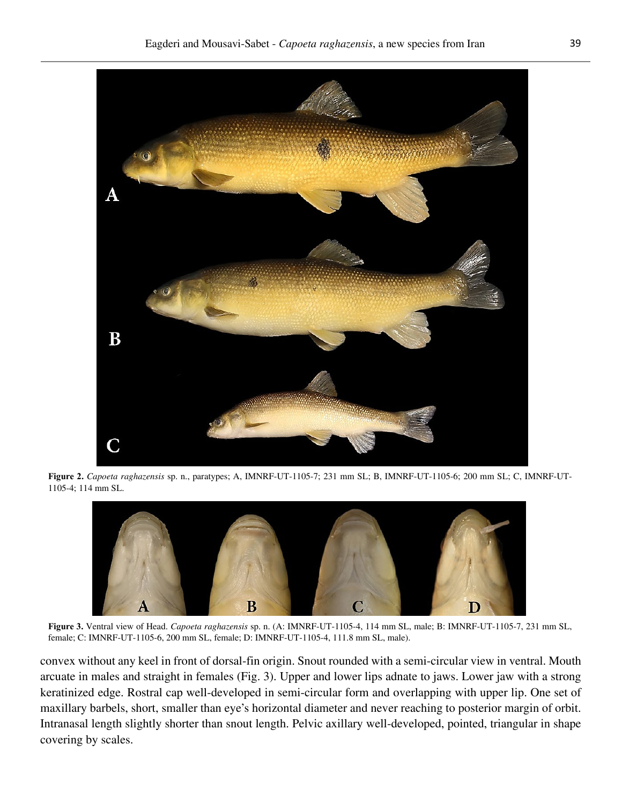

**Figure 2.** *Capoeta raghazensis* sp. n., paratypes; A, IMNRF-UT-1105-7; 231 mm SL; B, IMNRF-UT-1105-6; 200 mm SL; C, IMNRF-UT-1105-4; 114 mm SL.



**Figure 3.** Ventral view of Head. *Capoeta raghazensis* sp. n. (A: IMNRF-UT-1105-4, 114 mm SL, male; B: IMNRF-UT-1105-7, 231 mm SL, female; C: IMNRF-UT-1105-6, 200 mm SL, female; D: IMNRF-UT-1105-4, 111.8 mm SL, male).

convex without any keel in front of dorsal-fin origin. Snout rounded with a semi-circular view in ventral. Mouth arcuate in males and straight in females (Fig. 3). Upper and lower lips adnate to jaws. Lower jaw with a strong keratinized edge. Rostral cap well-developed in semi-circular form and overlapping with upper lip. One set of maxillary barbels, short, smaller than eye's horizontal diameter and never reaching to posterior margin of orbit. Intranasal length slightly shorter than snout length. Pelvic axillary well-developed, pointed, triangular in shape covering by scales.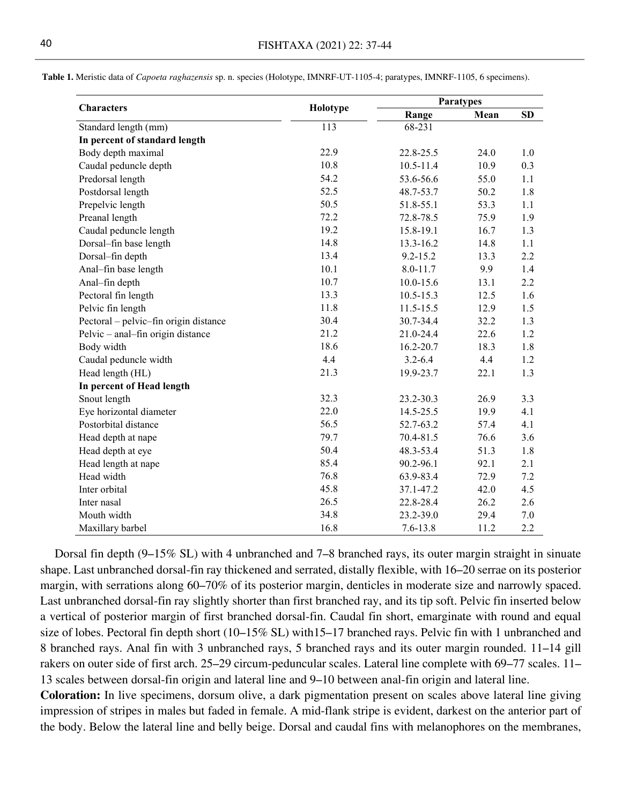| Table 1. Meristic data of Capoeta raghazensis sp. n. species (Holotype, IMNRF-UT-1105-4; paratypes, IMNRF-1105, 6 specimens). |  |
|-------------------------------------------------------------------------------------------------------------------------------|--|
|-------------------------------------------------------------------------------------------------------------------------------|--|

|                                       |          |               | <b>Paratypes</b> |           |  |
|---------------------------------------|----------|---------------|------------------|-----------|--|
| <b>Characters</b>                     | Holotype | Range         | Mean             | <b>SD</b> |  |
| Standard length (mm)                  | 113      | 68-231        |                  |           |  |
| In percent of standard length         |          |               |                  |           |  |
| Body depth maximal                    | 22.9     | 22.8-25.5     | 24.0             | 1.0       |  |
| Caudal peduncle depth                 | 10.8     | $10.5 - 11.4$ | 10.9             | 0.3       |  |
| Predorsal length                      | 54.2     | 53.6-56.6     | 55.0             | 1.1       |  |
| Postdorsal length                     | 52.5     | 48.7-53.7     | 50.2             | 1.8       |  |
| Prepelvic length                      | 50.5     | 51.8-55.1     | 53.3             | 1.1       |  |
| Preanal length                        | 72.2     | 72.8-78.5     | 75.9             | 1.9       |  |
| Caudal peduncle length                | 19.2     | 15.8-19.1     | 16.7             | 1.3       |  |
| Dorsal-fin base length                | 14.8     | 13.3-16.2     | 14.8             | 1.1       |  |
| Dorsal-fin depth                      | 13.4     | $9.2 - 15.2$  | 13.3             | 2.2       |  |
| Anal-fin base length                  | 10.1     | 8.0-11.7      | 9.9              | 1.4       |  |
| Anal-fin depth                        | 10.7     | $10.0 - 15.6$ | 13.1             | 2.2       |  |
| Pectoral fin length                   | 13.3     | $10.5 - 15.3$ | 12.5             | 1.6       |  |
| Pelvic fin length                     | 11.8     | 11.5-15.5     | 12.9             | 1.5       |  |
| Pectoral - pelvic-fin origin distance | 30.4     | 30.7-34.4     | 32.2             | 1.3       |  |
| Pelvic - anal-fin origin distance     | 21.2     | 21.0-24.4     | 22.6             | 1.2       |  |
| Body width                            | 18.6     | 16.2-20.7     | 18.3             | 1.8       |  |
| Caudal peduncle width                 | 4.4      | $3.2 - 6.4$   | 4.4              | 1.2       |  |
| Head length (HL)                      | 21.3     | 19.9-23.7     | 22.1             | 1.3       |  |
| In percent of Head length             |          |               |                  |           |  |
| Snout length                          | 32.3     | 23.2-30.3     | 26.9             | 3.3       |  |
| Eye horizontal diameter               | 22.0     | 14.5-25.5     | 19.9             | 4.1       |  |
| Postorbital distance                  | 56.5     | 52.7-63.2     | 57.4             | 4.1       |  |
| Head depth at nape                    | 79.7     | 70.4-81.5     | 76.6             | 3.6       |  |
| Head depth at eye                     | 50.4     | 48.3-53.4     | 51.3             | 1.8       |  |
| Head length at nape                   | 85.4     | 90.2-96.1     | 92.1             | 2.1       |  |
| Head width                            | 76.8     | 63.9-83.4     | 72.9             | 7.2       |  |
| Inter orbital                         | 45.8     | 37.1-47.2     | 42.0             | 4.5       |  |
| Inter nasal                           | 26.5     | 22.8-28.4     | 26.2             | 2.6       |  |
| Mouth width                           | 34.8     | 23.2-39.0     | 29.4             | 7.0       |  |
| Maxillary barbel                      | 16.8     | $7.6 - 13.8$  | 11.2             | 2.2       |  |

Dorsal fin depth (9–15% SL) with 4 unbranched and 7–8 branched rays, its outer margin straight in sinuate shape. Last unbranched dorsal-fin ray thickened and serrated, distally flexible, with 16–20 serrae on its posterior margin, with serrations along 60–70% of its posterior margin, denticles in moderate size and narrowly spaced. Last unbranched dorsal-fin ray slightly shorter than first branched ray, and its tip soft. Pelvic fin inserted below a vertical of posterior margin of first branched dorsal-fin. Caudal fin short, emarginate with round and equal size of lobes. Pectoral fin depth short (10–15% SL) with15–17 branched rays. Pelvic fin with 1 unbranched and 8 branched rays. Anal fin with 3 unbranched rays, 5 branched rays and its outer margin rounded. 11–14 gill rakers on outer side of first arch. 25–29 circum-peduncular scales. Lateral line complete with 69–77 scales. 11– 13 scales between dorsal-fin origin and lateral line and 9–10 between anal-fin origin and lateral line.

**Coloration:** In live specimens, dorsum olive, a dark pigmentation present on scales above lateral line giving impression of stripes in males but faded in female. A mid-flank stripe is evident, darkest on the anterior part of the body. Below the lateral line and belly beige. Dorsal and caudal fins with melanophores on the membranes,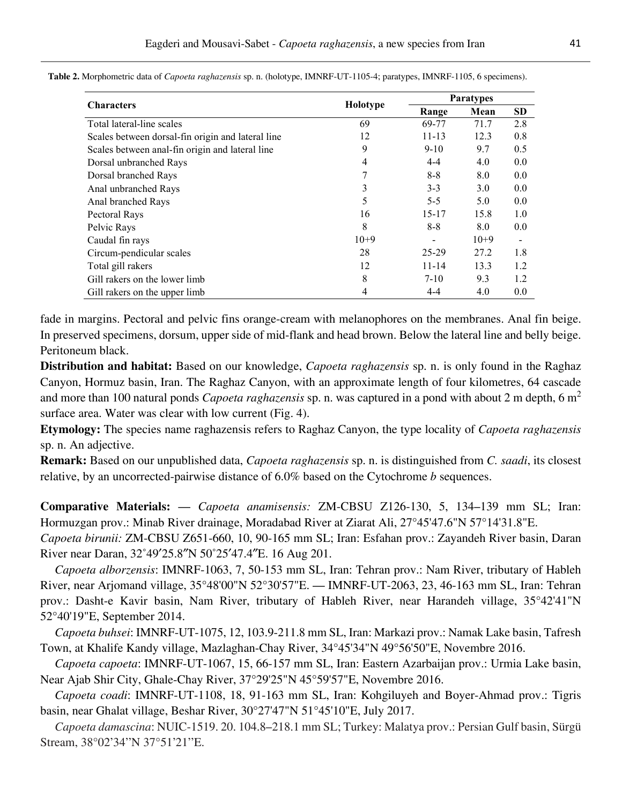| <b>Characters</b>                                 | Holotype | <b>Paratypes</b> |        |           |
|---------------------------------------------------|----------|------------------|--------|-----------|
|                                                   |          | Range            | Mean   | <b>SD</b> |
| Total lateral-line scales                         | 69       | 69-77            | 71.7   | 2.8       |
| Scales between dorsal-fin origin and lateral line | 12       | $11 - 13$        | 12.3   | 0.8       |
| Scales between anal-fin origin and lateral line   | 9        | $9 - 10$         | 9.7    | 0.5       |
| Dorsal unbranched Rays                            | 4        | $4 - 4$          | 4.0    | 0.0       |
| Dorsal branched Rays                              | 7        | $8-8$            | 8.0    | 0.0       |
| Anal unbranched Rays                              | 3        | $3 - 3$          | 3.0    | 0.0       |
| Anal branched Rays                                | 5        | $5-5$            | 5.0    | 0.0       |
| Pectoral Rays                                     | 16       | 15-17            | 15.8   | 1.0       |
| Pelvic Rays                                       | 8        | $8 - 8$          | 8.0    | 0.0       |
| Caudal fin rays                                   | $10+9$   |                  | $10+9$ |           |
| Circum-pendicular scales                          | 28       | 25-29            | 27.2   | 1.8       |
| Total gill rakers                                 | 12       | $11 - 14$        | 13.3   | 1.2       |
| Gill rakers on the lower limb                     | 8        | $7 - 10$         | 9.3    | 1.2       |
| Gill rakers on the upper limb                     | 4        | 4-4              | 4.0    | 0.0       |

**Table 2.** Morphometric data of *Capoeta raghazensis* sp. n. (holotype, IMNRF-UT-1105-4; paratypes, IMNRF-1105, 6 specimens).

fade in margins. Pectoral and pelvic fins orange-cream with melanophores on the membranes. Anal fin beige. In preserved specimens, dorsum, upper side of mid-flank and head brown. Below the lateral line and belly beige. Peritoneum black.

**Distribution and habitat:** Based on our knowledge, *Capoeta raghazensis* sp. n. is only found in the Raghaz Canyon, Hormuz basin, Iran. The Raghaz Canyon, with an approximate length of four kilometres, 64 cascade and more than 100 natural ponds *Capoeta raghazensis* sp. n. was captured in a pond with about 2 m depth, 6 m<sup>2</sup> surface area. Water was clear with low current (Fig. 4).

**Etymology:** The species name raghazensis refers to Raghaz Canyon, the type locality of *Capoeta raghazensis*  sp. n. An adjective.

**Remark:** Based on our unpublished data, *Capoeta raghazensis* sp. n. is distinguished from *C. saadi*, its closest relative, by an uncorrected-pairwise distance of 6.0% based on the Cytochrome *b* sequences.

**Comparative Materials:** — *Capoeta anamisensis:* ZM-CBSU Z126-130, 5, 134–139 mm SL; Iran: Hormuzgan prov.: Minab River drainage, Moradabad River at Ziarat Ali, 27°45'47.6"N 57°14'31.8"E.

*Capoeta birunii:* ZM-CBSU Z651-660, 10, 90-165 mm SL; Iran: Esfahan prov.: Zayandeh River basin, Daran River near Daran, 32˚49′25.8″N 50˚25′47.4″E. 16 Aug 201.

*Capoeta alborzensis*: IMNRF-1063, 7, 50-153 mm SL, Iran: Tehran prov.: Nam River, tributary of Hableh River, near Arjomand village, 35°48'00"N 52°30'57"E. — IMNRF-UT-2063, 23, 46-163 mm SL, Iran: Tehran prov.: Dasht-e Kavir basin, Nam River, tributary of Hableh River, near Harandeh village, 35°42'41"N 52°40'19"E, September 2014.

*Capoeta buhsei*: IMNRF-UT-1075, 12, 103.9-211.8 mm SL, Iran: Markazi prov.: Namak Lake basin, Tafresh Town, at Khalife Kandy village, Mazlaghan-Chay River, 34°45'34"N 49°56'50"E, Novembre 2016.

*Capoeta capoeta*: IMNRF-UT-1067, 15, 66-157 mm SL, Iran: Eastern Azarbaijan prov.: Urmia Lake basin, Near Ajab Shir City, Ghale-Chay River, 37°29'25"N 45°59'57"E, Novembre 2016.

*Capoeta coadi*: IMNRF-UT-1108, 18, 91-163 mm SL, Iran: Kohgiluyeh and Boyer-Ahmad prov.: Tigris basin, near Ghalat village, Beshar River, 30°27'47"N 51°45'10"E, July 2017.

*Capoeta damascina*: NUIC-1519. 20. 104.8–218.1 mm SL; Turkey: Malatya prov.: Persian Gulf basin, Sürgü Stream, 38°02'34''N 37°51'21''E.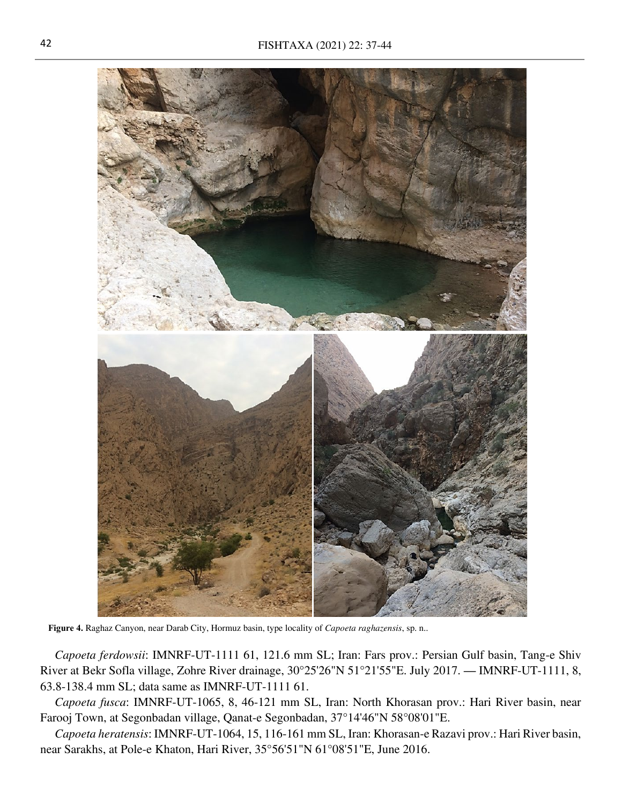

**Figure 4.** Raghaz Canyon, near Darab City, Hormuz basin, type locality of *Capoeta raghazensis*, sp. n..

*Capoeta ferdowsii*: IMNRF-UT-1111 61, 121.6 mm SL; Iran: Fars prov.: Persian Gulf basin, Tang-e Shiv River at Bekr Sofla village, Zohre River drainage, 30°25'26"N 51°21'55"E. July 2017. — IMNRF-UT-1111, 8, 63.8-138.4 mm SL; data same as IMNRF-UT-1111 61.

*Capoeta fusca*: IMNRF-UT-1065, 8, 46-121 mm SL, Iran: North Khorasan prov.: Hari River basin, near Farooj Town, at Segonbadan village, Qanat-e Segonbadan, 37°14'46"N 58°08'01"E.

*Capoeta heratensis*: IMNRF-UT-1064, 15, 116-161 mm SL, Iran: Khorasan-e Razavi prov.: Hari River basin, near Sarakhs, at Pole-e Khaton, Hari River, 35°56'51"N 61°08'51"E, June 2016.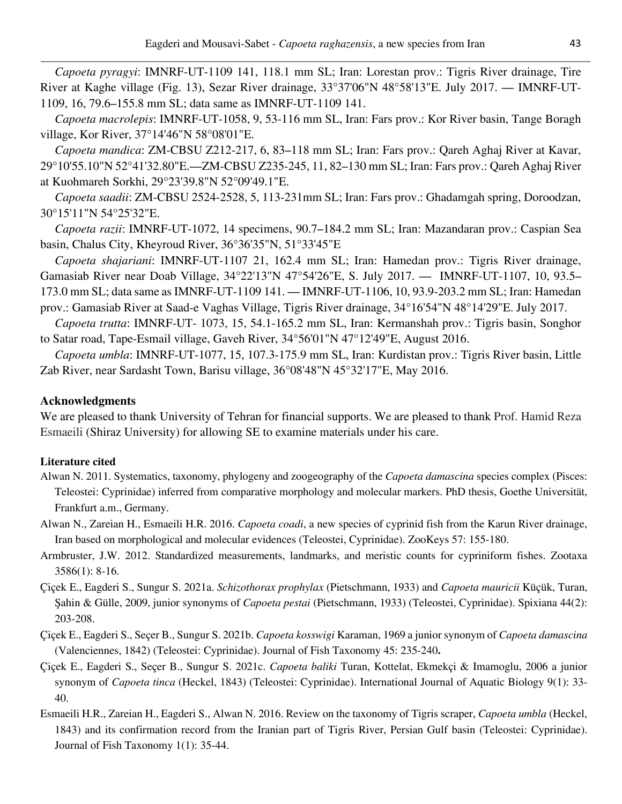*Capoeta pyragyi*: IMNRF-UT-1109 141, 118.1 mm SL; Iran: Lorestan prov.: Tigris River drainage, Tire River at Kaghe village (Fig. 13), Sezar River drainage, 33°37'06"N 48°58'13"E. July 2017. — IMNRF-UT-1109, 16, 79.6–155.8 mm SL; data same as IMNRF-UT-1109 141.

*Capoeta macrolepis*: IMNRF-UT-1058, 9, 53-116 mm SL, Iran: Fars prov.: Kor River basin, Tange Boragh village, Kor River, 37°14'46"N 58°08'01"E.

*Capoeta mandica*: ZM-CBSU Z212-217, 6, 83–118 mm SL; Iran: Fars prov.: Qareh Aghaj River at Kavar, 29°10'55.10"N 52°41'32.80"E.—ZM-CBSU Z235-245, 11, 82–130 mm SL; Iran: Fars prov.: Qareh Aghaj River at Kuohmareh Sorkhi, 29°23'39.8"N 52°09'49.1"E.

*Capoeta saadii*: ZM-CBSU 2524-2528, 5, 113-231mm SL; Iran: Fars prov.: Ghadamgah spring, Doroodzan, 30°15'11"N 54°25'32"E.

*Capoeta razii*: IMNRF-UT-1072, 14 specimens, 90.7–184.2 mm SL; Iran: Mazandaran prov.: Caspian Sea basin, Chalus City, Kheyroud River, 36°36'35"N, 51°33'45"E

*Capoeta shajariani*: IMNRF-UT-1107 21, 162.4 mm SL; Iran: Hamedan prov.: Tigris River drainage, Gamasiab River near Doab Village, 34°22'13"N 47°54'26"E, S. July 2017. — IMNRF-UT-1107, 10, 93.5– 173.0 mm SL; data same as IMNRF-UT-1109 141. — IMNRF-UT-1106, 10, 93.9-203.2 mm SL; Iran: Hamedan prov.: Gamasiab River at Saad-e Vaghas Village, Tigris River drainage, 34°16'54"N 48°14'29"E. July 2017.

*Capoeta trutta*: IMNRF-UT- 1073, 15, 54.1-165.2 mm SL, Iran: Kermanshah prov.: Tigris basin, Songhor to Satar road, Tape-Esmail village, Gaveh River, 34°56'01"N 47°12'49"E, August 2016.

*Capoeta umbla*: IMNRF-UT-1077, 15, 107.3-175.9 mm SL, Iran: Kurdistan prov.: Tigris River basin, Little Zab River, near Sardasht Town, Barisu village, 36°08'48"N 45°32'17"E, May 2016.

## **Acknowledgments**

We are pleased to thank University of Tehran for financial supports. We are pleased to thank Prof. Hamid Reza Esmaeili (Shiraz University) for allowing SE to examine materials under his care.

### **Literature cited**

- Alwan N. 2011. Systematics, taxonomy, phylogeny and zoogeography of the *Capoeta damascina* species complex (Pisces: Teleostei: Cyprinidae) inferred from comparative morphology and molecular markers. PhD thesis, Goethe Universität, Frankfurt a.m., Germany.
- Alwan N., Zareian H., Esmaeili H.R. 2016. *Capoeta coadi*, a new species of cyprinid fish from the Karun River drainage, Iran based on morphological and molecular evidences (Teleostei, Cyprinidae). ZooKeys 57: 155-180.
- Armbruster, J.W. 2012. Standardized measurements, landmarks, and meristic counts for cypriniform fishes. Zootaxa 3586(1): 8-16.
- Çiçek E., Eagderi S., Sungur S. 2021a. *Schizothorax prophylax* (Pietschmann, 1933) and *Capoeta mauricii* Küçük, Turan, Şahin & Gülle, 2009, junior synonyms of *Capoeta pestai* (Pietschmann, 1933) (Teleostei, Cyprinidae). Spixiana 44(2): 203-208.
- Çiçek E., Eagderi S., Seçer B., Sungur S. 2021b. *Capoeta kosswigi* Karaman, 1969 a junior synonym of *Capoeta damascina*  (Valenciennes, 1842) (Teleostei: Cyprinidae). Journal of Fish Taxonomy 45: 235-240**.**
- Çiçek E., Eagderi S., Seçer B., Sungur S. 2021c. *Capoeta baliki* Turan, Kottelat, Ekmekçi & Imamoglu, 2006 a junior synonym of *Capoeta tinca* (Heckel, 1843) (Teleostei: Cyprinidae). International Journal of Aquatic Biology 9(1): 33- 40.
- Esmaeili H.R., Zareian H., Eagderi S., Alwan N. 2016. Review on the taxonomy of Tigris scraper, *Capoeta umbla* (Heckel, 1843) and its confirmation record from the Iranian part of Tigris River, Persian Gulf basin (Teleostei: Cyprinidae). Journal of Fish Taxonomy 1(1): 35-44.